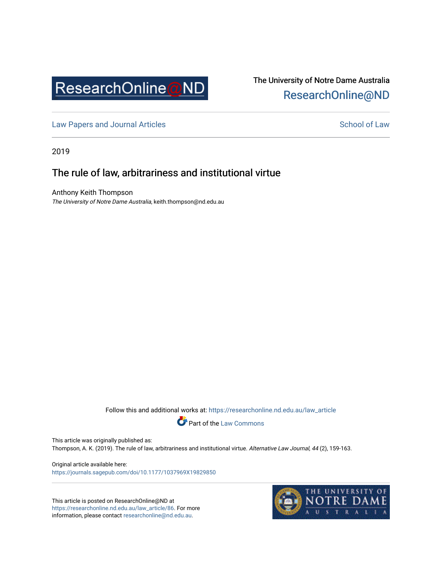

# The University of Notre Dame Australia [ResearchOnline@ND](https://researchonline.nd.edu.au/)

[Law Papers and Journal Articles](https://researchonline.nd.edu.au/law_article) and School of Law

2019

# The rule of law, arbitrariness and institutional virtue

Anthony Keith Thompson The University of Notre Dame Australia, keith.thompson@nd.edu.au

Follow this and additional works at: [https://researchonline.nd.edu.au/law\\_article](https://researchonline.nd.edu.au/law_article?utm_source=researchonline.nd.edu.au%2Flaw_article%2F86&utm_medium=PDF&utm_campaign=PDFCoverPages) 



This article was originally published as:

Thompson, A. K. (2019). The rule of law, arbitrariness and institutional virtue. Alternative Law Journal, 44 (2), 159-163.

Original article available here: <https://journals.sagepub.com/doi/10.1177/1037969X19829850>

This article is posted on ResearchOnline@ND at [https://researchonline.nd.edu.au/law\\_article/86](https://researchonline.nd.edu.au/law_article/86). For more information, please contact [researchonline@nd.edu.au.](mailto:researchonline@nd.edu.au)

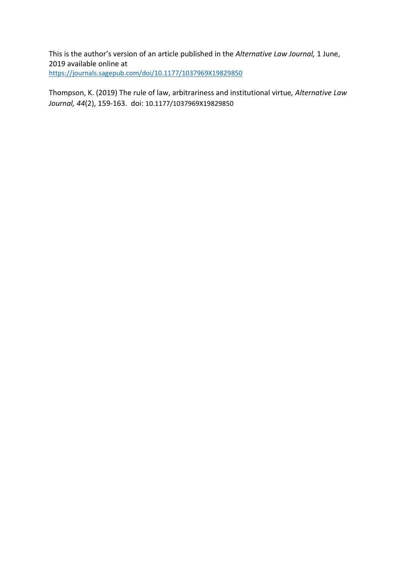This is the author's version of an article published in the *Alternative Law Journal,* 1 June, 2019 available online at <https://journals.sagepub.com/doi/10.1177/1037969X19829850>

Thompson, K. (2019) The rule of law, arbitrariness and institutional virtue*, Alternative Law Journal, 44*(2), 159-163. doi: 10.1177/1037969X19829850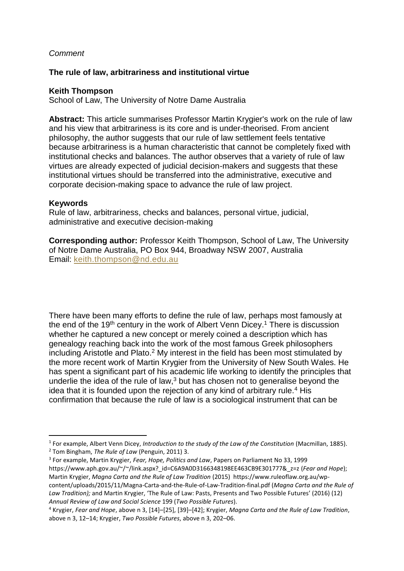#### *Comment*

#### **The rule of law, arbitrariness and institutional virtue**

#### **Keith Thompson**

School of Law, The University of Notre Dame Australia

**Abstract:** This article summarises Professor Martin Krygier's work on the rule of law and his view that arbitrariness is its core and is under-theorised. From ancient philosophy, the author suggests that our rule of law settlement feels tentative because arbitrariness is a human characteristic that cannot be completely fixed with institutional checks and balances. The author observes that a variety of rule of law virtues are already expected of judicial decision-makers and suggests that these institutional virtues should be transferred into the administrative, executive and corporate decision-making space to advance the rule of law project.

#### **Keywords**

l

Rule of law, arbitrariness, checks and balances, personal virtue, judicial, administrative and executive decision-making

**Corresponding author:** Professor Keith Thompson, School of Law, The University of Notre Dame Australia, PO Box 944, Broadway NSW 2007, Australia Email: [keith.thompson@nd.edu.au](mailto:keith.thompson@nd.edu.au)

There have been many efforts to define the rule of law, perhaps most famously at the end of the 19<sup>th</sup> century in the work of Albert Venn Dicey.<sup>1</sup> There is discussion whether he captured a new concept or merely coined a description which has genealogy reaching back into the work of the most famous Greek philosophers including Aristotle and Plato.<sup>2</sup> My interest in the field has been most stimulated by the more recent work of Martin Krygier from the University of New South Wales. He has spent a significant part of his academic life working to identify the principles that underlie the idea of the rule of law, $3$  but has chosen not to generalise beyond the idea that it is founded upon the rejection of any kind of arbitrary rule.<sup>4</sup> His confirmation that because the rule of law is a sociological instrument that can be

3 For example, Martin Krygier, *Fear, Hope, Politics and Law*, Papers on Parliament No 33, 1999 https://www.aph.gov.au/~/~/link.aspx?\_id=C6A9A0D3166348198EE463CB9E301777&\_z=z (*Fear and Hope*); Martin Krygier, *Magna Carta and the Rule of Law Tradition* (2015) https://www.ruleoflaw.org.au/wpcontent/uploads/2015/11/Magna-Carta-and-the-Rule-of-Law-Tradition-final.pdf (*Magna Carta and the Rule of Law Tradition);* and Martin Krygier, 'The Rule of Law: Pasts, Presents and Two Possible Futures' (2016) (12) *Annual Review of Law and Social Science* 199 (*Two Possible Futures*).

<sup>1</sup> For example, Albert Venn Dicey, *Introduction to the study of the Law of the Constitution* (Macmillan, 1885). <sup>2</sup> Tom Bingham, *The Rule of Law* (Penguin, 2011) 3.

<sup>4</sup> Krygier, *Fear and Hope*, above n 3, [14]–[25], [39]–[42]; Krygier, *Magna Carta and the Rule of Law Tradition*, above n 3, 12–14; Krygier, *Two Possible Futures*, above n 3, 202–06.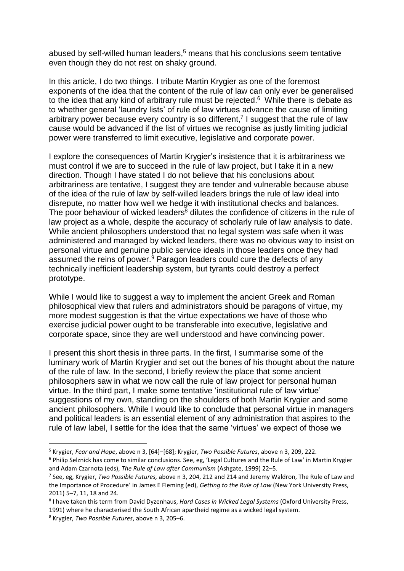abused by self-willed human leaders,<sup>5</sup> means that his conclusions seem tentative even though they do not rest on shaky ground.

In this article, I do two things. I tribute Martin Krygier as one of the foremost exponents of the idea that the content of the rule of law can only ever be generalised to the idea that any kind of arbitrary rule must be rejected. <sup>6</sup> While there is debate as to whether general 'laundry lists' of rule of law virtues advance the cause of limiting arbitrary power because every country is so different,<sup>7</sup> I suggest that the rule of law cause would be advanced if the list of virtues we recognise as justly limiting judicial power were transferred to limit executive, legislative and corporate power.

I explore the consequences of Martin Krygier's insistence that it is arbitrariness we must control if we are to succeed in the rule of law project, but I take it in a new direction. Though I have stated I do not believe that his conclusions about arbitrariness are tentative, I suggest they are tender and vulnerable because abuse of the idea of the rule of law by self-willed leaders brings the rule of law ideal into disrepute, no matter how well we hedge it with institutional checks and balances. The poor behaviour of wicked leaders<sup>8</sup> dilutes the confidence of citizens in the rule of law project as a whole, despite the accuracy of scholarly rule of law analysis to date. While ancient philosophers understood that no legal system was safe when it was administered and managed by wicked leaders, there was no obvious way to insist on personal virtue and genuine public service ideals in those leaders once they had assumed the reins of power. <sup>9</sup> Paragon leaders could cure the defects of any technically inefficient leadership system, but tyrants could destroy a perfect prototype.

While I would like to suggest a way to implement the ancient Greek and Roman philosophical view that rulers and administrators should be paragons of virtue, my more modest suggestion is that the virtue expectations we have of those who exercise judicial power ought to be transferable into executive, legislative and corporate space, since they are well understood and have convincing power.

I present this short thesis in three parts. In the first, I summarise some of the luminary work of Martin Krygier and set out the bones of his thought about the nature of the rule of law. In the second, I briefly review the place that some ancient philosophers saw in what we now call the rule of law project for personal human virtue. In the third part, I make some tentative 'institutional rule of law virtue' suggestions of my own, standing on the shoulders of both Martin Krygier and some ancient philosophers. While I would like to conclude that personal virtue in managers and political leaders is an essential element of any administration that aspires to the rule of law label, I settle for the idea that the same 'virtues' we expect of those we

 $\overline{a}$ 

<sup>5</sup> Krygier, *Fear and Hope*, above n 3, [64]–[68]; Krygier, *Two Possible Futures*, above n 3, 209, 222.

<sup>&</sup>lt;sup>6</sup> Philip Selznick has come to similar conclusions. See, eg, 'Legal Cultures and the Rule of Law' in Martin Krygier and Adam Czarnota (eds), *The Rule of Law after Communism* (Ashgate, 1999) 22–5.

<sup>7</sup> See, eg, Krygier, *Two Possible Futures,* above n 3, 204, 212 and 214 and Jeremy Waldron, The Rule of Law and the Importance of Procedure' in James E Fleming (ed), *Getting to the Rule of Law* (New York University Press, 2011) 5–7, 11, 18 and 24.

<sup>8</sup> I have taken this term from David Dyzenhaus, *Hard Cases in Wicked Legal Systems* (Oxford University Press, 1991) where he characterised the South African apartheid regime as a wicked legal system.

<sup>9</sup> Krygier, *Two Possible Futures*, above n 3, 205–6.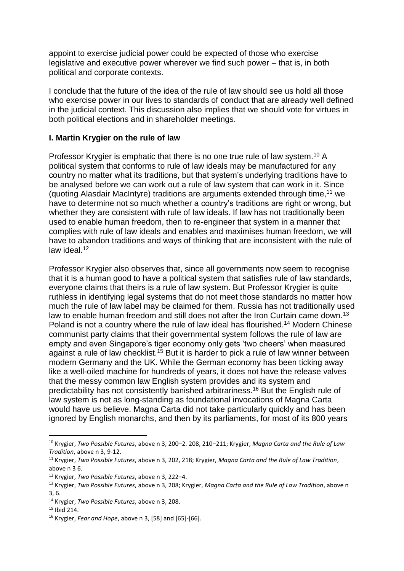appoint to exercise judicial power could be expected of those who exercise legislative and executive power wherever we find such power – that is, in both political and corporate contexts.

I conclude that the future of the idea of the rule of law should see us hold all those who exercise power in our lives to standards of conduct that are already well defined in the judicial context. This discussion also implies that we should vote for virtues in both political elections and in shareholder meetings.

# **I. Martin Krygier on the rule of law**

Professor Krygier is emphatic that there is no one true rule of law system.<sup>10</sup> A political system that conforms to rule of law ideals may be manufactured for any country no matter what its traditions, but that system's underlying traditions have to be analysed before we can work out a rule of law system that can work in it. Since (quoting Alasdair MacIntyre) traditions are arguments extended through time,  $11$  we have to determine not so much whether a country's traditions are right or wrong, but whether they are consistent with rule of law ideals. If law has not traditionally been used to enable human freedom, then to re-engineer that system in a manner that complies with rule of law ideals and enables and maximises human freedom, we will have to abandon traditions and ways of thinking that are inconsistent with the rule of law ideal. 12

Professor Krygier also observes that, since all governments now seem to recognise that it is a human good to have a political system that satisfies rule of law standards, everyone claims that theirs is a rule of law system. But Professor Krygier is quite ruthless in identifying legal systems that do not meet those standards no matter how much the rule of law label may be claimed for them. Russia has not traditionally used law to enable human freedom and still does not after the Iron Curtain came down.<sup>13</sup> Poland is not a country where the rule of law ideal has flourished.<sup>14</sup> Modern Chinese communist party claims that their governmental system follows the rule of law are empty and even Singapore's tiger economy only gets 'two cheers' when measured against a rule of law checklist.<sup>15</sup> But it is harder to pick a rule of law winner between modern Germany and the UK. While the German economy has been ticking away like a well-oiled machine for hundreds of years, it does not have the release valves that the messy common law English system provides and its system and predictability has not consistently banished arbitrariness. <sup>16</sup> But the English rule of law system is not as long-standing as foundational invocations of Magna Carta would have us believe. Magna Carta did not take particularly quickly and has been ignored by English monarchs, and then by its parliaments, for most of its 800 years

<sup>10</sup> Krygier, *Two Possible Futures*, above n 3, 200–2. 208, 210–211; Krygier, *Magna Carta and the Rule of Law Tradition*, above n 3, 9-12.

<sup>11</sup> Krygier, *Two Possible Futures*, above n 3, 202, 218; Krygier, *Magna Carta and the Rule of Law Tradition*, above n 3 6.

<sup>12</sup> Krygier, *Two Possible Futures*, above n 3, 222–4.

<sup>13</sup> Krygier, *Two Possible Futures*, above n 3, 208; Krygier, *Magna Carta and the Rule of Law Tradition*, above n 3, 6.

<sup>14</sup> Krygier, *Two Possible Futures*, above n 3, 208.

<sup>15</sup> Ibid 214.

<sup>16</sup> Krygier, *Fear and Hope*, above n 3, [58] and [65]-[66].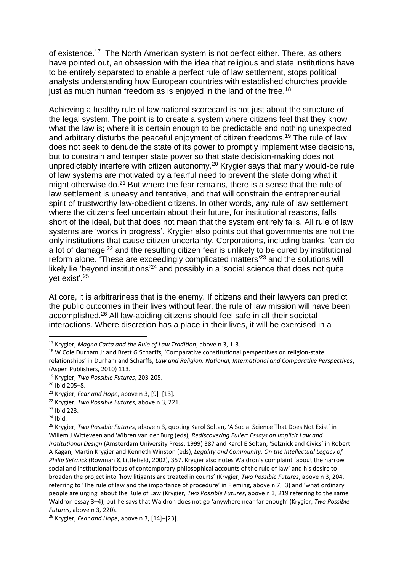of existence.<sup>17</sup> The North American system is not perfect either. There, as others have pointed out, an obsession with the idea that religious and state institutions have to be entirely separated to enable a perfect rule of law settlement, stops political analysts understanding how European countries with established churches provide just as much human freedom as is enjoyed in the land of the free.<sup>18</sup>

Achieving a healthy rule of law national scorecard is not just about the structure of the legal system. The point is to create a system where citizens feel that they know what the law is; where it is certain enough to be predictable and nothing unexpected and arbitrary disturbs the peaceful enjoyment of citizen freedoms.<sup>19</sup> The rule of law does not seek to denude the state of its power to promptly implement wise decisions, but to constrain and temper state power so that state decision-making does not unpredictably interfere with citizen autonomy.<sup>20</sup> Krygier says that many would-be rule of law systems are motivated by a fearful need to prevent the state doing what it might otherwise do.<sup>21</sup> But where the fear remains, there is a sense that the rule of law settlement is uneasy and tentative, and that will constrain the entrepreneurial spirit of trustworthy law-obedient citizens. In other words, any rule of law settlement where the citizens feel uncertain about their future, for institutional reasons, falls short of the ideal, but that does not mean that the system entirely fails. All rule of law systems are 'works in progress'. Krygier also points out that governments are not the only institutions that cause citizen uncertainty. Corporations, including banks, 'can do a lot of damage<sup>'22</sup> and the resulting citizen fear is unlikely to be cured by institutional reform alone. 'These are exceedingly complicated matters'<sup>23</sup> and the solutions will likely lie 'beyond institutions'<sup>24</sup> and possibly in a 'social science that does not quite yet exist'.<sup>25</sup>

At core, it is arbitrariness that is the enemy. If citizens and their lawyers can predict the public outcomes in their lives without fear, the rule of law mission will have been accomplished.<sup>26</sup> All law-abiding citizens should feel safe in all their societal interactions. Where discretion has a place in their lives, it will be exercised in a

<sup>17</sup> Krygier, *Magna Carta and the Rule of Law Tradition*, above n 3, 1-3.

<sup>&</sup>lt;sup>18</sup> W Cole Durham Jr and Brett G Scharffs, 'Comparative constitutional perspectives on religion-state relationships' in Durham and Scharffs, *Law and Religion: National, International and Comparative Perspectives*, (Aspen Publishers, 2010) 113.

<sup>19</sup> Krygier, *Two Possible Futures*, 203-205.

 $20$  Ibid 205-8.

<sup>21</sup> Krygier, *Fear and Hope*, above n 3, [9]–[13].

<sup>22</sup> Krygier, *Two Possible Futures*, above n 3, 221.

<sup>23</sup> Ibid 223.

 $24$  Ibid.

<sup>25</sup> Krygier, *Two Possible Futures*, above n 3, quoting Karol Soltan, 'A Social Science That Does Not Exist' in Willem J Witteveen and Wibren van der Burg (eds), *Rediscovering Fuller: Essays on Implicit Law and Institutional Design* (Amsterdam University Press, 1999) 387 and Karol E Soltan, 'Selznick and Civics' in Robert A Kagan, Martin Krygier and Kenneth Winston (eds), *Legality and Community: On the Intellectual Legacy of Philip Selznick* (Rowman & Littlefield, 2002), 357. Krygier also notes Waldron's complaint 'about the narrow social and institutional focus of contemporary philosophical accounts of the rule of law' and his desire to broaden the project into 'how litigants are treated in courts' (Krygier, *Two Possible Futures*, above n 3, 204, referring to 'The rule of law and the importance of procedure' in Fleming, above n 7, 3) and 'what ordinary people are urging' about the Rule of Law (Krygier, *Two Possible Futures*, above n 3, 219 referring to the same Waldron essay 3–4), but he says that Waldron does not go 'anywhere near far enough' (Krygier, *Two Possible Futures*, above n 3, 220).

<sup>26</sup> Krygier, *Fear and Hope*, above n 3, [14]–[23].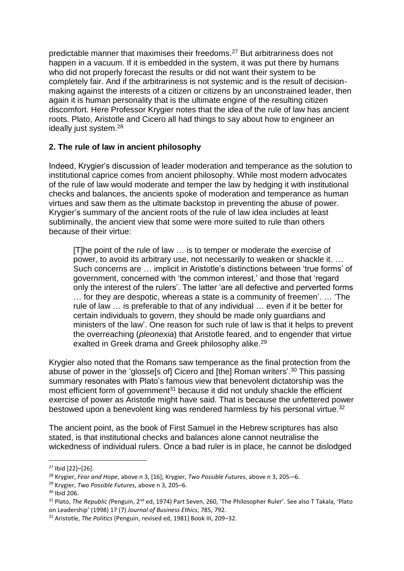predictable manner that maximises their freedoms.<sup>27</sup> But arbitrariness does not happen in a vacuum. If it is embedded in the system, it was put there by humans who did not properly forecast the results or did not want their system to be completely fair. And if the arbitrariness is not systemic and is the result of decisionmaking against the interests of a citizen or citizens by an unconstrained leader, then again it is human personality that is the ultimate engine of the resulting citizen discomfort. Here Professor Krygier notes that the idea of the rule of law has ancient roots. Plato, Aristotle and Cicero all had things to say about how to engineer an ideally just system.<sup>28</sup>

# **2. The rule of law in ancient philosophy**

Indeed, Krygier's discussion of leader moderation and temperance as the solution to institutional caprice comes from ancient philosophy. While most modern advocates of the rule of law would moderate and temper the law by hedging it with institutional checks and balances, the ancients spoke of moderation and temperance as human virtues and saw them as the ultimate backstop in preventing the abuse of power. Krygier's summary of the ancient roots of the rule of law idea includes at least subliminally, the ancient view that some were more suited to rule than others because of their virtue:

[T]he point of the rule of law … is to temper or moderate the exercise of power, to avoid its arbitrary use, not necessarily to weaken or shackle it. … Such concerns are … implicit in Aristotle's distinctions between 'true forms' of government, concerned with 'the common interest,' and those that 'regard only the interest of the rulers'. The latter 'are all defective and perverted forms … for they are despotic, whereas a state is a community of freemen'. … 'The rule of law … is preferable to that of any individual … even if it be better for certain individuals to govern, they should be made only guardians and ministers of the law'. One reason for such rule of law is that it helps to prevent the overreaching (*pleonexia*) that Aristotle feared, and to engender that virtue exalted in Greek drama and Greek philosophy alike.<sup>29</sup>

Krygier also noted that the Romans saw temperance as the final protection from the abuse of power in the 'glosse[s of] Cicero and [the] Roman writers'.<sup>30</sup> This passing summary resonates with Plato's famous view that benevolent dictatorship was the most efficient form of government<sup>31</sup> because it did not unduly shackle the efficient exercise of power as Aristotle might have said. That is because the unfettered power bestowed upon a benevolent king was rendered harmless by his personal virtue.<sup>32</sup>

The ancient point, as the book of First Samuel in the Hebrew scriptures has also stated, is that institutional checks and balances alone cannot neutralise the wickedness of individual rulers. Once a bad ruler is in place, he cannot be dislodged

<sup>27</sup> Ibid [22]–[26].

<sup>28</sup> Krygier, *Fear and Hope*, above n 3, [16]; Krygier, *Two Possible Futures*, above n 3, 205-–6.

<sup>29</sup> Krygier, *Two Possible Futures*, above n 3, 205–6.

<sup>30</sup> Ibid 206.

<sup>&</sup>lt;sup>31</sup> Plato, *The Republic (*Penguin, 2<sup>nd</sup> ed, 1974) Part Seven, 260, 'The Philosopher Ruler'. See also T Takala, 'Plato on Leadership' (1998) 17 (7) *Journal of Business Ethics*, 785, 792.

<sup>32</sup> Aristotle, *The Politics* (Penguin, revised ed, 1981) Book III, 209–32.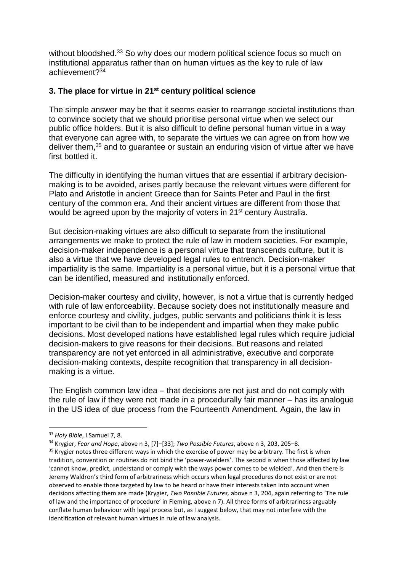without bloodshed.<sup>33</sup> So why does our modern political science focus so much on institutional apparatus rather than on human virtues as the key to rule of law achievement? 34

# **3. The place for virtue in 21st century political science**

The simple answer may be that it seems easier to rearrange societal institutions than to convince society that we should prioritise personal virtue when we select our public office holders. But it is also difficult to define personal human virtue in a way that everyone can agree with, to separate the virtues we can agree on from how we deliver them, <sup>35</sup> and to guarantee or sustain an enduring vision of virtue after we have first bottled it.

The difficulty in identifying the human virtues that are essential if arbitrary decisionmaking is to be avoided, arises partly because the relevant virtues were different for Plato and Aristotle in ancient Greece than for Saints Peter and Paul in the first century of the common era. And their ancient virtues are different from those that would be agreed upon by the majority of voters in 21<sup>st</sup> century Australia.

But decision-making virtues are also difficult to separate from the institutional arrangements we make to protect the rule of law in modern societies. For example, decision-maker independence is a personal virtue that transcends culture, but it is also a virtue that we have developed legal rules to entrench. Decision-maker impartiality is the same. Impartiality is a personal virtue, but it is a personal virtue that can be identified, measured and institutionally enforced.

Decision-maker courtesy and civility, however, is not a virtue that is currently hedged with rule of law enforceability. Because society does not institutionally measure and enforce courtesy and civility, judges, public servants and politicians think it is less important to be civil than to be independent and impartial when they make public decisions. Most developed nations have established legal rules which require judicial decision-makers to give reasons for their decisions. But reasons and related transparency are not yet enforced in all administrative, executive and corporate decision-making contexts, despite recognition that transparency in all decisionmaking is a virtue.

The English common law idea – that decisions are not just and do not comply with the rule of law if they were not made in a procedurally fair manner – has its analogue in the US idea of due process from the Fourteenth Amendment. Again, the law in

<sup>33</sup> *Holy Bible*, I Samuel 7, 8.

<sup>34</sup> Krygier, *Fear and Hope*, above n 3, [7]–[33]; *Two Possible Futures*, above n 3, 203, 205–8.

<sup>&</sup>lt;sup>35</sup> Krygier notes three different ways in which the exercise of power may be arbitrary. The first is when tradition, convention or routines do not bind the 'power-wielders'. The second is when those affected by law 'cannot know, predict, understand or comply with the ways power comes to be wielded'. And then there is Jeremy Waldron's third form of arbitrariness which occurs when legal procedures do not exist or are not observed to enable those targeted by law to be heard or have their interests taken into account when decisions affecting them are made (Krygier, *Two Possible Futures,* above n 3, 204, again referring to 'The rule of law and the importance of procedure' in Fleming, above n 7). All three forms of arbitrariness arguably conflate human behaviour with legal process but, as I suggest below, that may not interfere with the identification of relevant human virtues in rule of law analysis.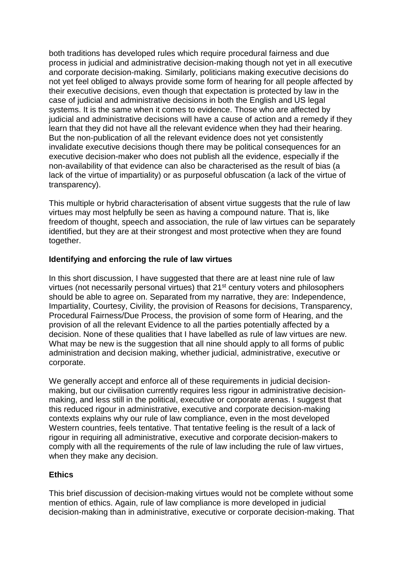both traditions has developed rules which require procedural fairness and due process in judicial and administrative decision-making though not yet in all executive and corporate decision-making. Similarly, politicians making executive decisions do not yet feel obliged to always provide some form of hearing for all people affected by their executive decisions, even though that expectation is protected by law in the case of judicial and administrative decisions in both the English and US legal systems. It is the same when it comes to evidence. Those who are affected by judicial and administrative decisions will have a cause of action and a remedy if they learn that they did not have all the relevant evidence when they had their hearing. But the non-publication of all the relevant evidence does not yet consistently invalidate executive decisions though there may be political consequences for an executive decision-maker who does not publish all the evidence, especially if the non-availability of that evidence can also be characterised as the result of bias (a lack of the virtue of impartiality) or as purposeful obfuscation (a lack of the virtue of transparency).

This multiple or hybrid characterisation of absent virtue suggests that the rule of law virtues may most helpfully be seen as having a compound nature. That is, like freedom of thought, speech and association, the rule of law virtues can be separately identified, but they are at their strongest and most protective when they are found together.

## **Identifying and enforcing the rule of law virtues**

In this short discussion, I have suggested that there are at least nine rule of law virtues (not necessarily personal virtues) that 21st century voters and philosophers should be able to agree on. Separated from my narrative, they are: Independence, Impartiality, Courtesy, Civility, the provision of Reasons for decisions, Transparency, Procedural Fairness/Due Process, the provision of some form of Hearing, and the provision of all the relevant Evidence to all the parties potentially affected by a decision. None of these qualities that I have labelled as rule of law virtues are new. What may be new is the suggestion that all nine should apply to all forms of public administration and decision making, whether judicial, administrative, executive or corporate.

We generally accept and enforce all of these requirements in judicial decisionmaking, but our civilisation currently requires less rigour in administrative decisionmaking, and less still in the political, executive or corporate arenas. I suggest that this reduced rigour in administrative, executive and corporate decision-making contexts explains why our rule of law compliance, even in the most developed Western countries, feels tentative. That tentative feeling is the result of a lack of rigour in requiring all administrative, executive and corporate decision-makers to comply with all the requirements of the rule of law including the rule of law virtues, when they make any decision.

## **Ethics**

This brief discussion of decision-making virtues would not be complete without some mention of ethics. Again, rule of law compliance is more developed in judicial decision-making than in administrative, executive or corporate decision-making. That